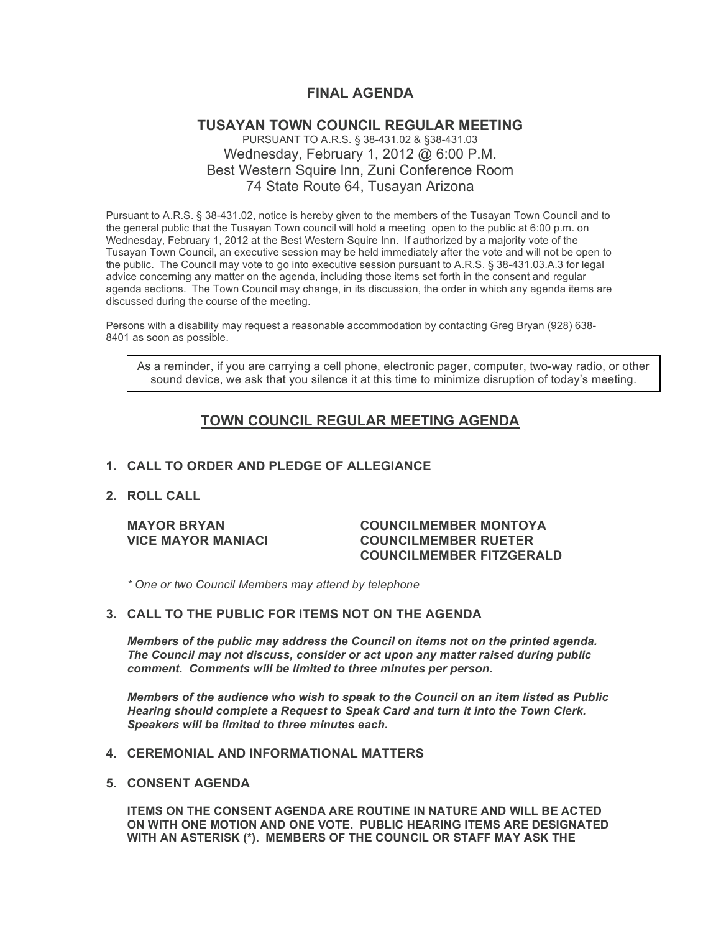# **FINAL AGENDA**

### **TUSAYAN TOWN COUNCIL REGULAR MEETING** PURSUANT TO A.R.S. § 38-431.02 & §38-431.03 Wednesday, February 1, 2012 @ 6:00 P.M. Best Western Squire Inn, Zuni Conference Room 74 State Route 64, Tusayan Arizona

Pursuant to A.R.S. § 38-431.02, notice is hereby given to the members of the Tusayan Town Council and to the general public that the Tusayan Town council will hold a meeting open to the public at 6:00 p.m. on Wednesday, February 1, 2012 at the Best Western Squire Inn. If authorized by a majority vote of the Tusayan Town Council, an executive session may be held immediately after the vote and will not be open to the public. The Council may vote to go into executive session pursuant to A.R.S. § 38-431.03.A.3 for legal advice concerning any matter on the agenda, including those items set forth in the consent and regular agenda sections. The Town Council may change, in its discussion, the order in which any agenda items are discussed during the course of the meeting.

Persons with a disability may request a reasonable accommodation by contacting Greg Bryan (928) 638- 8401 as soon as possible.

As a reminder, if you are carrying a cell phone, electronic pager, computer, two-way radio, or other sound device, we ask that you silence it at this time to minimize disruption of today's meeting.

# **TOWN COUNCIL REGULAR MEETING AGENDA**

### **1. CALL TO ORDER AND PLEDGE OF ALLEGIANCE**

**2. ROLL CALL**

#### **MAYOR BRYAN COUNCILMEMBER MONTOYA VICE MAYOR MANIACI COUNCILMEMBER RUETER COUNCILMEMBER FITZGERALD**

*\* One or two Council Members may attend by telephone*

#### **3. CALL TO THE PUBLIC FOR ITEMS NOT ON THE AGENDA**

*Members of the public may address the Council* **o***n items not on the printed agenda. The Council may not discuss, consider or act upon any matter raised during public comment. Comments will be limited to three minutes per person.*

*Members of the audience who wish to speak to the Council on an item listed as Public Hearing should complete a Request to Speak Card and turn it into the Town Clerk. Speakers will be limited to three minutes each.*

#### **4. CEREMONIAL AND INFORMATIONAL MATTERS**

**5. CONSENT AGENDA**

**ITEMS ON THE CONSENT AGENDA ARE ROUTINE IN NATURE AND WILL BE ACTED ON WITH ONE MOTION AND ONE VOTE. PUBLIC HEARING ITEMS ARE DESIGNATED WITH AN ASTERISK (\*). MEMBERS OF THE COUNCIL OR STAFF MAY ASK THE**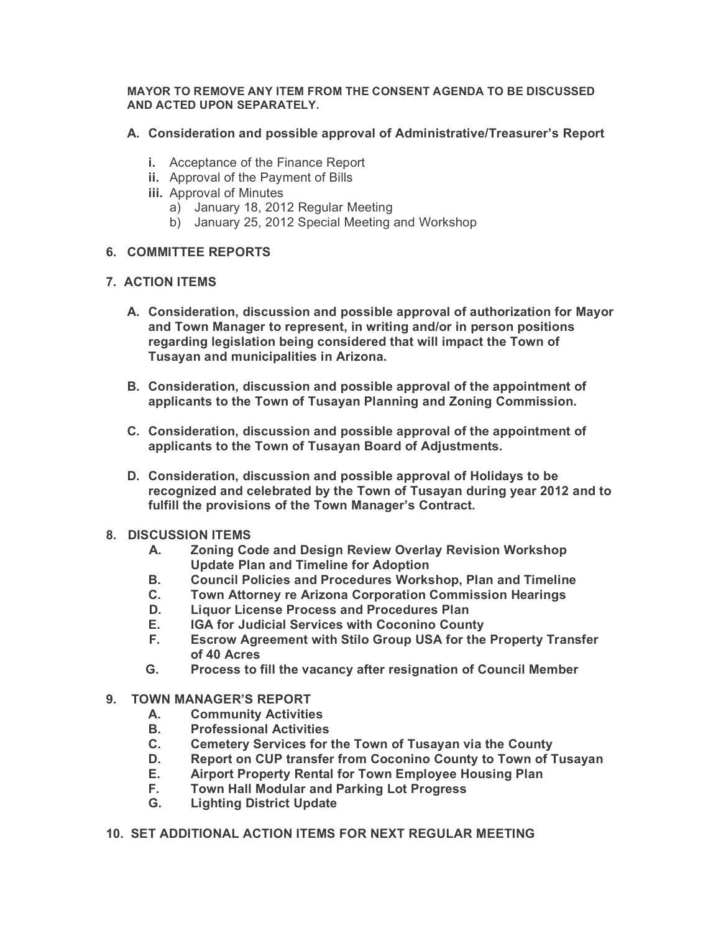### **MAYOR TO REMOVE ANY ITEM FROM THE CONSENT AGENDA TO BE DISCUSSED AND ACTED UPON SEPARATELY.**

- **A. Consideration and possible approval of Administrative/Treasurer's Report**
	- **i.** Acceptance of the Finance Report
	- **ii.** Approval of the Payment of Bills
	- **iii.** Approval of Minutes
		- a) January 18, 2012 Regular Meeting
		- b) January 25, 2012 Special Meeting and Workshop

## **6. COMMITTEE REPORTS**

## **7. ACTION ITEMS**

- **A. Consideration, discussion and possible approval of authorization for Mayor and Town Manager to represent, in writing and/or in person positions regarding legislation being considered that will impact the Town of Tusayan and municipalities in Arizona.**
- **B. Consideration, discussion and possible approval of the appointment of applicants to the Town of Tusayan Planning and Zoning Commission.**
- **C. Consideration, discussion and possible approval of the appointment of applicants to the Town of Tusayan Board of Adjustments.**
- **D. Consideration, discussion and possible approval of Holidays to be recognized and celebrated by the Town of Tusayan during year 2012 and to fulfill the provisions of the Town Manager's Contract.**
- **8. DISCUSSION ITEMS**
	- **A. Zoning Code and Design Review Overlay Revision Workshop Update Plan and Timeline for Adoption**
	- **B. Council Policies and Procedures Workshop, Plan and Timeline**
	- **C. Town Attorney re Arizona Corporation Commission Hearings**
	- **D. Liquor License Process and Procedures Plan**
	- **E. IGA for Judicial Services with Coconino County**
	- **F. Escrow Agreement with Stilo Group USA for the Property Transfer of 40 Acres**
	- **G. Process to fill the vacancy after resignation of Council Member**
- **9. TOWN MANAGER'S REPORT**
	- **A. Community Activities**
	- **B. Professional Activities**
	- **C. Cemetery Services for the Town of Tusayan via the County**
	- **D. Report on CUP transfer from Coconino County to Town of Tusayan**
	- **E. Airport Property Rental for Town Employee Housing Plan**
	- **F. Town Hall Modular and Parking Lot Progress**
	- **G. Lighting District Update**
- **10. SET ADDITIONAL ACTION ITEMS FOR NEXT REGULAR MEETING**